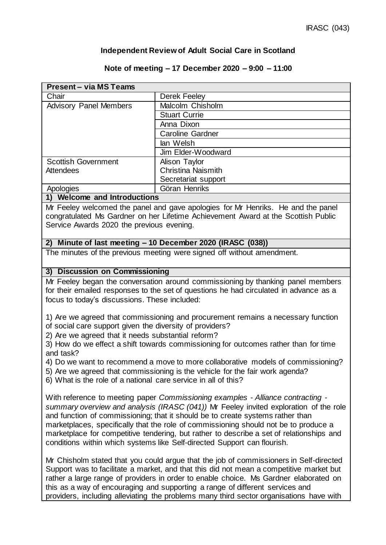## **Independent Review of Adult Social Care in Scotland**

#### **Note of meeting – 17 December 2020 – 9:00 – 11:00**

| <b>Present - via MS Teams</b>                                                    |                           |  |
|----------------------------------------------------------------------------------|---------------------------|--|
| Chair                                                                            | Derek Feeley              |  |
| <b>Advisory Panel Members</b>                                                    | Malcolm Chisholm          |  |
|                                                                                  | <b>Stuart Currie</b>      |  |
|                                                                                  | Anna Dixon                |  |
|                                                                                  | <b>Caroline Gardner</b>   |  |
|                                                                                  | lan Welsh                 |  |
|                                                                                  | Jim Elder-Woodward        |  |
| <b>Scottish Government</b>                                                       | Alison Taylor             |  |
| Attendees                                                                        | <b>Christina Naismith</b> |  |
|                                                                                  | Secretariat support       |  |
| Apologies                                                                        | Göran Henriks             |  |
| 1) Welcome and Introductions                                                     |                           |  |
| Mr Feeley welcomed the panel and gave apologies for Mr Henriks. He and the panel |                           |  |

Mr Feeley welcomed the panel and gave apologies for Mr Henriks. He and the panel congratulated Ms Gardner on her Lifetime Achievement Award at the Scottish Public Service Awards 2020 the previous evening.

## **2) Minute of last meeting – 10 December 2020 (IRASC (038))**

The minutes of the previous meeting were signed off without amendment.

#### **3) Discussion on Commissioning**

Mr Feeley began the conversation around commissioning by thanking panel members for their emailed responses to the set of questions he had circulated in advance as a focus to today's discussions. These included:

1) Are we agreed that commissioning and procurement remains a necessary function of social care support given the diversity of providers?

2) Are we agreed that it needs substantial reform?

3) How do we effect a shift towards commissioning for outcomes rather than for time and task?

4) Do we want to recommend a move to more collaborative models of commissioning?

5) Are we agreed that commissioning is the vehicle for the fair work agenda?

6) What is the role of a national care service in all of this?

With reference to meeting paper *Commissioning examples - Alliance contracting summary overview and analysis (IRASC (041))* Mr Feeley invited exploration of the role and function of commissioning; that it should be to create systems rather than marketplaces, specifically that the role of commissioning should not be to produce a marketplace for competitive tendering, but rather to describe a set of relationships and conditions within which systems like Self-directed Support can flourish.

Mr Chisholm stated that you could argue that the job of commissioners in Self-directed Support was to facilitate a market, and that this did not mean a competitive market but rather a large range of providers in order to enable choice. Ms Gardner elaborated on this as a way of encouraging and supporting a range of different services and providers, including alleviating the problems many third sector organisations have with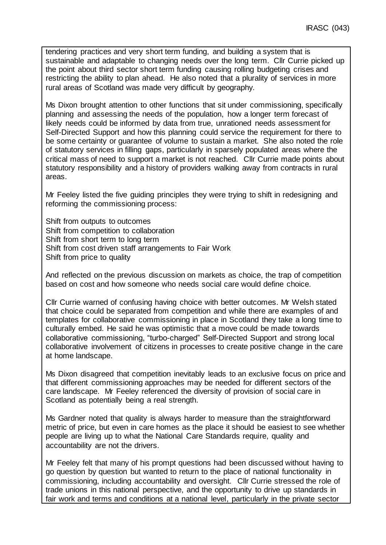tendering practices and very short term funding, and building a system that is sustainable and adaptable to changing needs over the long term. Cllr Currie picked up the point about third sector short term funding causing rolling budgeting crises and restricting the ability to plan ahead. He also noted that a plurality of services in more rural areas of Scotland was made very difficult by geography.

Ms Dixon brought attention to other functions that sit under commissioning, specifically planning and assessing the needs of the population, how a longer term forecast of likely needs could be informed by data from true, unrationed needs assessment for Self-Directed Support and how this planning could service the requirement for there to be some certainty or guarantee of volume to sustain a market. She also noted the role of statutory services in filling gaps, particularly in sparsely populated areas where the critical mass of need to support a market is not reached. Cllr Currie made points about statutory responsibility and a history of providers walking away from contracts in rural areas.

Mr Feeley listed the five guiding principles they were trying to shift in redesigning and reforming the commissioning process:

Shift from outputs to outcomes Shift from competition to collaboration Shift from short term to long term Shift from cost driven staff arrangements to Fair Work Shift from price to quality

And reflected on the previous discussion on markets as choice, the trap of competition based on cost and how someone who needs social care would define choice.

Cllr Currie warned of confusing having choice with better outcomes. Mr Welsh stated that choice could be separated from competition and while there are examples of and templates for collaborative commissioning in place in Scotland they take a long time to culturally embed. He said he was optimistic that a move could be made towards collaborative commissioning, "turbo-charged" Self-Directed Support and strong local collaborative involvement of citizens in processes to create positive change in the care at home landscape.

Ms Dixon disagreed that competition inevitably leads to an exclusive focus on price and that different commissioning approaches may be needed for different sectors of the care landscape. Mr Feeley referenced the diversity of provision of social care in Scotland as potentially being a real strength.

Ms Gardner noted that quality is always harder to measure than the straightforward metric of price, but even in care homes as the place it should be easiest to see whether people are living up to what the National Care Standards require, quality and accountability are not the drivers.

Mr Feeley felt that many of his prompt questions had been discussed without having to go question by question but wanted to return to the place of national functionality in commissioning, including accountability and oversight. Cllr Currie stressed the role of trade unions in this national perspective, and the opportunity to drive up standards in fair work and terms and conditions at a national level, particularly in the private sector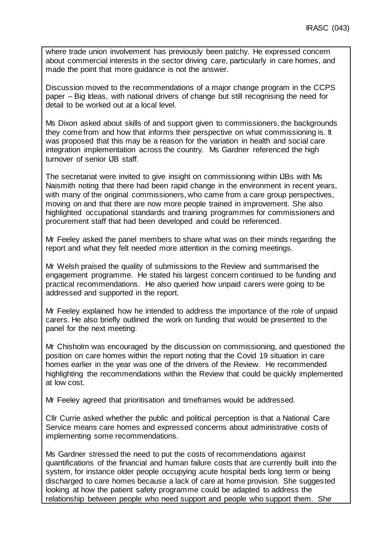where trade union involvement has previously been patchy. He expressed concern about commercial interests in the sector driving care, particularly in care homes, and made the point that more guidance is not the answer.

Discussion moved to the recommendations of a major change program in the CCPS paper – Big Ideas, with national drivers of change but still recognising the need for detail to be worked out at a local level.

Ms Dixon asked about skills of and support given to commissioners, the backgrounds they come from and how that informs their perspective on what commissioning is. It was proposed that this may be a reason for the variation in health and social care integration implementation across the country. Ms Gardner referenced the high turnover of senior IJB staff.

The secretariat were invited to give insight on commissioning within IJBs with Ms Naismith noting that there had been rapid change in the environment in recent years, with many of the original commissioners, who came from a care group perspectives, moving on and that there are now more people trained in improvement. She also highlighted occupational standards and training programmes for commissioners and procurement staff that had been developed and could be referenced.

Mr Feeley asked the panel members to share what was on their minds regarding the report and what they felt needed more attention in the coming meetings.

Mr Welsh praised the quality of submissions to the Review and summarised the engagement programme. He stated his largest concern continued to be funding and practical recommendations. He also queried how unpaid carers were going to be addressed and supported in the report.

Mr Feeley explained how he intended to address the importance of the role of unpaid carers. He also briefly outlined the work on funding that would be presented to the panel for the next meeting.

Mr Chisholm was encouraged by the discussion on commissioning, and questioned the position on care homes within the report noting that the Covid 19 situation in care homes earlier in the year was one of the drivers of the Review. He recommended highlighting the recommendations within the Review that could be quickly implemented at low cost.

Mr Feeley agreed that prioritisation and timeframes would be addressed.

Cllr Currie asked whether the public and political perception is that a National Care Service means care homes and expressed concerns about administrative costs of implementing some recommendations.

Ms Gardner stressed the need to put the costs of recommendations against quantifications of the financial and human failure costs that are currently built into the system, for instance older people occupying acute hospital beds long term or being discharged to care homes because a lack of care at home provision. She suggested looking at how the patient safety programme could be adapted to address the relationship between people who need support and people who support them. She